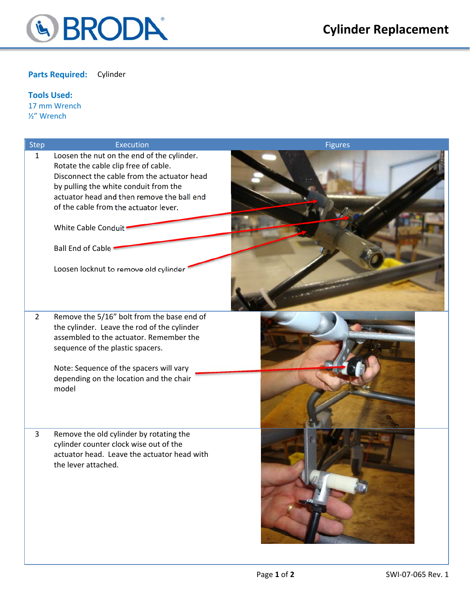

## **Parts Required:** Cylinder

## **Tools Used:**

17 mm Wrench ½" Wrench

| Step           | Execution                                                                                                                                                                                                                | <b>Figures</b> |
|----------------|--------------------------------------------------------------------------------------------------------------------------------------------------------------------------------------------------------------------------|----------------|
| $\mathbf{1}$   | Loosen the nut on the end of the cylinder.<br>Rotate the cable clip free of cable.<br>Disconnect the cable from the actuator head<br>by pulling the white conduit from the<br>actuator head and then remove the ball end |                |
|                | of the cable from the actuator lever.<br>White Cable Conduit                                                                                                                                                             |                |
|                | <b>Ball End of Cable</b>                                                                                                                                                                                                 |                |
|                | Loosen locknut to remove old cylinder                                                                                                                                                                                    |                |
| $\overline{2}$ | Remove the 5/16" bolt from the base end of<br>the cylinder. Leave the rod of the cylinder<br>assembled to the actuator. Remember the<br>sequence of the plastic spacers.                                                 |                |
|                | Note: Sequence of the spacers will vary<br>depending on the location and the chair<br>model                                                                                                                              |                |
| 3              | Remove the old cylinder by rotating the<br>cylinder counter clock wise out of the<br>actuator head. Leave the actuator head with<br>the lever attached.                                                                  |                |